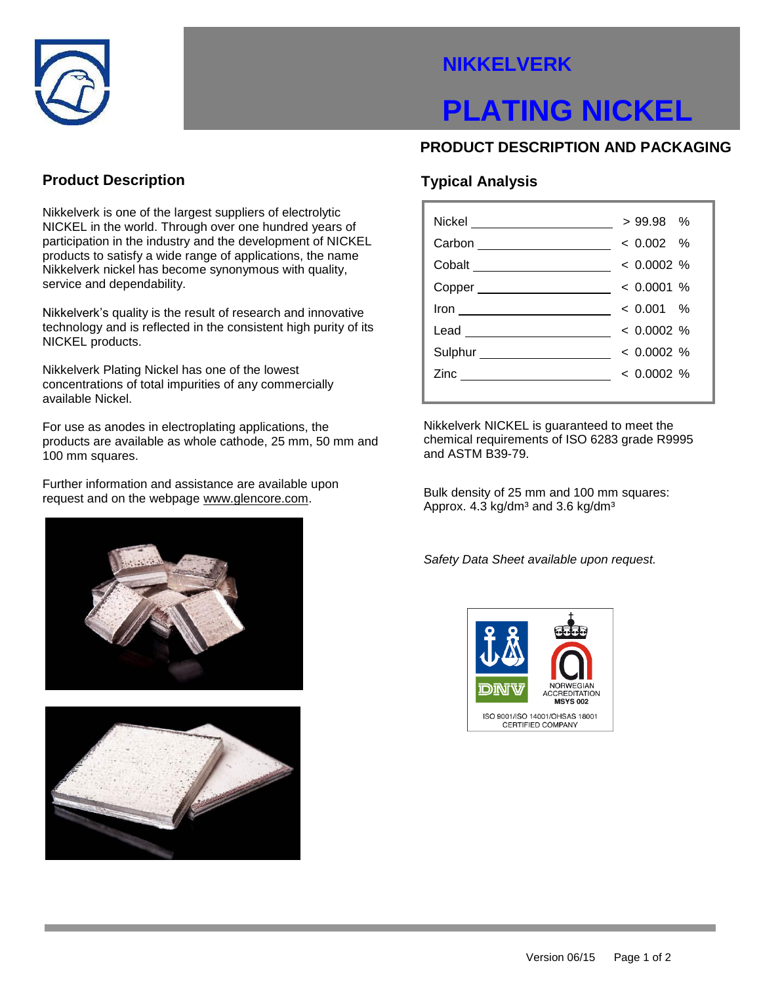

## **NIKKELVERK**

# **PLATING NICKEL**

### **PRODUCT DESCRIPTION AND PACKAGING**

### **Product Description**

Nikkelverk is one of the largest suppliers of electrolytic NICKEL in the world. Through over one hundred years of participation in the industry and the development of NICKEL products to satisfy a wide range of applications, the name Nikkelverk nickel has become synonymous with quality, service and dependability.

Nikkelverk's quality is the result of research and innovative technology and is reflected in the consistent high purity of its NICKEL products.

Nikkelverk Plating Nickel has one of the lowest concentrations of total impurities of any commercially available Nickel.

For use as anodes in electroplating applications, the products are available as whole cathode, 25 mm, 50 mm and 100 mm squares.

Further information and assistance are available upon request and on the webpage www.glencore.com.





### **Typical Analysis**

| Nickel __________________     | $>99.98$ %   |
|-------------------------------|--------------|
| Carbon _____________________  | $< 0.002$ %  |
|                               | $< 0.0002$ % |
|                               | $< 0.0001$ % |
| <u> </u>                      | $< 0.001$ %  |
| Lead _________________        | $< 0.0002$ % |
| Sulphur _____________________ | $< 0.0002$ % |
| Zinc _____________            | $< 0.0002$ % |
|                               |              |

Nikkelverk NICKEL is guaranteed to meet the chemical requirements of ISO 6283 grade R9995 and ASTM B39-79.

Bulk density of 25 mm and 100 mm squares: Approx.  $4.3 \text{ kg/dm}^3$  and  $3.6 \text{ kg/dm}^3$ 

*Safety Data Sheet available upon request.*